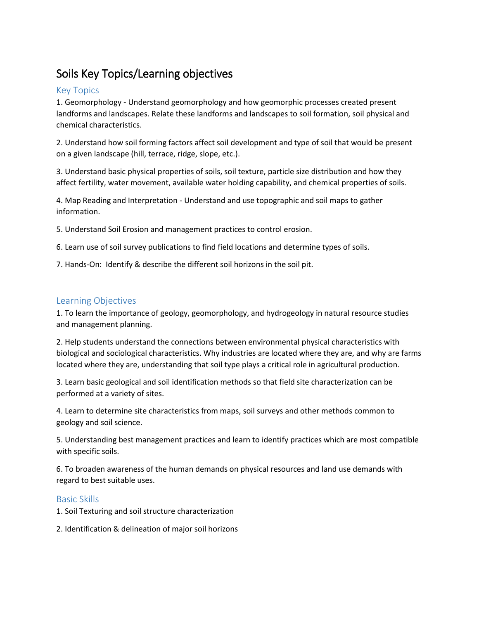## Soils Key Topics/Learning objectives

## Key Topics

1. Geomorphology - Understand geomorphology and how geomorphic processes created present landforms and landscapes. Relate these landforms and landscapes to soil formation, soil physical and chemical characteristics.

2. Understand how soil forming factors affect soil development and type of soil that would be present on a given landscape (hill, terrace, ridge, slope, etc.).

3. Understand basic physical properties of soils, soil texture, particle size distribution and how they affect fertility, water movement, available water holding capability, and chemical properties of soils.

4. Map Reading and Interpretation - Understand and use topographic and soil maps to gather information.

5. Understand Soil Erosion and management practices to control erosion.

6. Learn use of soil survey publications to find field locations and determine types of soils.

7. Hands-On: Identify & describe the different soil horizons in the soil pit.

## Learning Objectives

1. To learn the importance of geology, geomorphology, and hydrogeology in natural resource studies and management planning.

2. Help students understand the connections between environmental physical characteristics with biological and sociological characteristics. Why industries are located where they are, and why are farms located where they are, understanding that soil type plays a critical role in agricultural production.

3. Learn basic geological and soil identification methods so that field site characterization can be performed at a variety of sites.

4. Learn to determine site characteristics from maps, soil surveys and other methods common to geology and soil science.

5. Understanding best management practices and learn to identify practices which are most compatible with specific soils.

6. To broaden awareness of the human demands on physical resources and land use demands with regard to best suitable uses.

## Basic Skills

1. Soil Texturing and soil structure characterization

2. Identification & delineation of major soil horizons